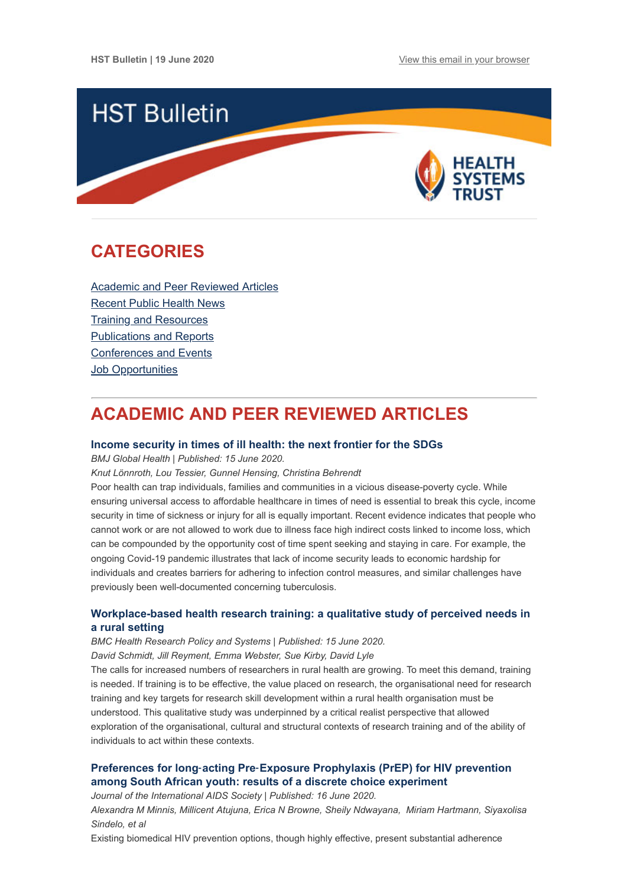

## <span id="page-0-1"></span>**CATEGORIES**

[Academic and Peer Reviewed Articles](#page-0-0) [Recent Public Health News](#page-2-0) Training and Resources [Publications and Reports](#page-2-1) [Conferences and Events](#page-3-0) **Job Opportunities** 

# <span id="page-0-0"></span>**ACADEMIC AND PEER REVIEWED ARTICLES**

#### **[Income security in times of ill health: the next frontier for the SDGs](https://gh.bmj.com/content/5/6/e002493.info)**

*BMJ Global Health | Published: 15 June 2020.*

*Knut Lönnroth, Lou Tessier, Gunnel Hensing, Christina Behrendt*

Poor health can trap individuals, families and communities in a vicious disease-poverty cycle. While ensuring universal access to affordable healthcare in times of need is essential to break this cycle, income security in time of sickness or injury for all is equally important. Recent evidence indicates that people who cannot work or are not allowed to work due to illness face high indirect costs linked to income loss, which can be compounded by the opportunity cost of time spent seeking and staying in care. For example, the ongoing Covid-19 pandemic illustrates that lack of income security leads to economic hardship for individuals and creates barriers for adhering to infection control measures, and similar challenges have previously been well-documented concerning tuberculosis.

## **[Workplace-based health research training: a qualitative study of perceived needs in](https://health-policy-systems.biomedcentral.com/articles/10.1186/s12961-020-00580-2) a rural setting**

*BMC Health Research Policy and Systems | Published: 15 June 2020.*

*David Schmidt, Jill Reyment, Emma Webster, Sue Kirby, David Lyle*

The calls for increased numbers of researchers in rural health are growing. To meet this demand, training is needed. If training is to be effective, the value placed on research, the organisational need for research training and key targets for research skill development within a rural health organisation must be understood. This qualitative study was underpinned by a critical realist perspective that allowed exploration of the organisational, cultural and structural contexts of research training and of the ability of individuals to act within these contexts.

## **Preferences for long**‐**acting Pre**‐**Exposure Prophylaxis (PrEP) for HIV prevention [among South African youth: results of a discrete choice experiment](https://onlinelibrary.wiley.com/doi/full/10.1002/jia2.25528)**

*Journal of the International AIDS Society | Published: 16 June 2020.*

*Alexandra M Minnis, Millicent Atujuna, Erica N Browne, Sheily Ndwayana, Miriam Hartmann, Siyaxolisa Sindelo, et al*

Existing biomedical HIV prevention options, though highly effective, present substantial adherence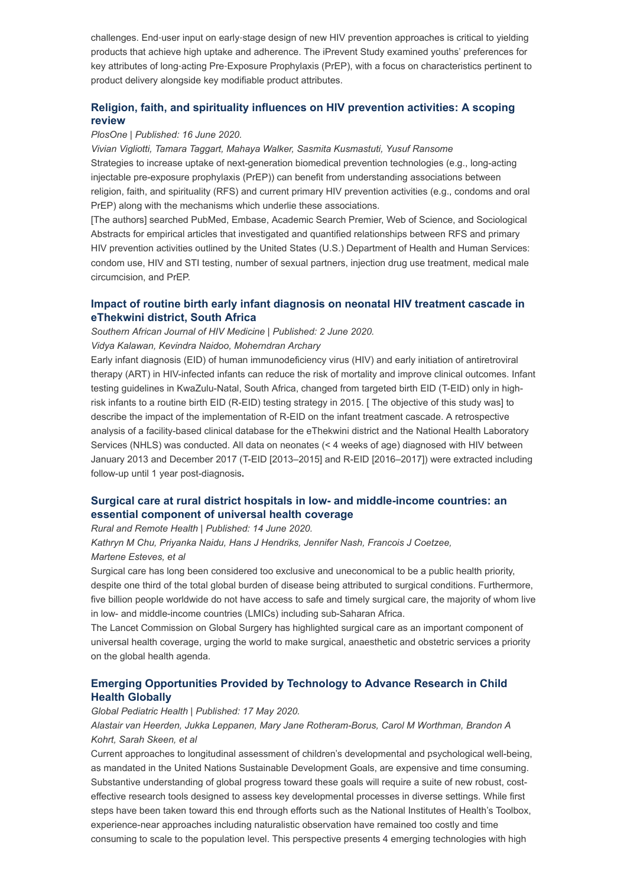challenges. End‐user input on early‐stage design of new HIV prevention approaches is critical to yielding products that achieve high uptake and adherence. The iPrevent Study examined youths' preferences for key attributes of long‐acting Pre‐Exposure Prophylaxis (PrEP), with a focus on characteristics pertinent to product delivery alongside key modifiable product attributes.

## **[Religion, faith, and spirituality influences on HIV prevention activities: A scoping](https://journals.plos.org/plosone/article?id=10.1371/journal.pone.0234720) review**

#### *PlosOne | Published: 16 June 2020.*

*Vivian Vigliotti, Tamara Taggart, Mahaya Walker, Sasmita Kusmastuti, Yusuf Ransome* Strategies to increase uptake of next-generation biomedical prevention technologies (e.g., long-acting injectable pre-exposure prophylaxis (PrEP)) can benefit from understanding associations between religion, faith, and spirituality (RFS) and current primary HIV prevention activities (e.g., condoms and oral PrEP) along with the mechanisms which underlie these associations.

[The authors] searched PubMed, Embase, Academic Search Premier, Web of Science, and Sociological Abstracts for empirical articles that investigated and quantified relationships between RFS and primary HIV prevention activities outlined by the United States (U.S.) Department of Health and Human Services: condom use, HIV and STI testing, number of sexual partners, injection drug use treatment, medical male circumcision, and PrEP.

### **[Impact of routine birth early infant diagnosis on neonatal HIV treatment cascade in](https://sajhivmed.org.za/index.php/hivmed/article/view/1084/1828) eThekwini district, South Africa**

*Southern African Journal of HIV Medicine | Published: 2 June 2020. Vidya Kalawan, Kevindra Naidoo, Moherndran Archary*

Early infant diagnosis (EID) of human immunodeficiency virus (HIV) and early initiation of antiretroviral therapy (ART) in HIV-infected infants can reduce the risk of mortality and improve clinical outcomes. Infant testing guidelines in KwaZulu-Natal, South Africa, changed from targeted birth EID (T-EID) only in highrisk infants to a routine birth EID (R-EID) testing strategy in 2015. [ The objective of this study was] to describe the impact of the implementation of R-EID on the infant treatment cascade. A retrospective analysis of a facility-based clinical database for the eThekwini district and the National Health Laboratory Services (NHLS) was conducted. All data on neonates (< 4 weeks of age) diagnosed with HIV between January 2013 and December 2017 (T-EID [2013–2015] and R-EID [2016–2017]) were extracted including follow-up until 1 year post-diagnosis**.**

### **[Surgical care at rural district hospitals in low- and middle-income countries: an](https://www.rrh.org.au/journal/article/5920) essential component of universal health coverage**

*Rural and Remote Health | Published: 14 June 2020.*

*Kathryn M Chu, Priyanka Naidu, Hans J Hendriks, Jennifer Nash, Francois J Coetzee,*

#### *Martene Esteves, et al*

Surgical care has long been considered too exclusive and uneconomical to be a public health priority, despite one third of the total global burden of disease being attributed to surgical conditions. Furthermore, five billion people worldwide do not have access to safe and timely surgical care, the majority of whom live in low- and middle-income countries (LMICs) including sub-Saharan Africa.

The Lancet Commission on Global Surgery has highlighted surgical care as an important component of universal health coverage, urging the world to make surgical, anaesthetic and obstetric services a priority on the global health agenda.

## **[Emerging Opportunities Provided by Technology to Advance Research in Child](https://journals.sagepub.com/doi/10.1177/2333794X20917570) Health Globally**

#### *Global Pediatric Health | Published: 17 May 2020.*

### *Alastair van Heerden, Jukka Leppanen, Mary Jane Rotheram-Borus, Carol M Worthman, Brandon A Kohrt, Sarah Skeen, et al*

Current approaches to longitudinal assessment of children's developmental and psychological well-being, as mandated in the United Nations Sustainable Development Goals, are expensive and time consuming. Substantive understanding of global progress toward these goals will require a suite of new robust, costeffective research tools designed to assess key developmental processes in diverse settings. While first steps have been taken toward this end through efforts such as the National Institutes of Health's Toolbox, experience-near approaches including naturalistic observation have remained too costly and time consuming to scale to the population level. This perspective presents 4 emerging technologies with high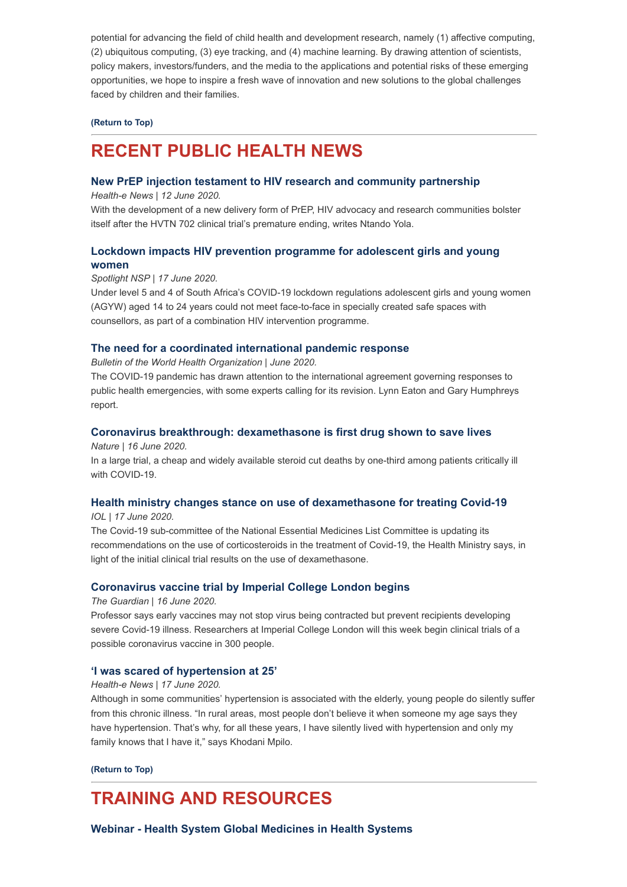potential for advancing the field of child health and development research, namely (1) affective computing, (2) ubiquitous computing, (3) eye tracking, and (4) machine learning. By drawing attention of scientists, policy makers, investors/funders, and the media to the applications and potential risks of these emerging opportunities, we hope to inspire a fresh wave of innovation and new solutions to the global challenges faced by children and their families.

#### **[\(Return to Top\)](#page-0-1)**

# <span id="page-2-0"></span>**RECENT PUBLIC HEALTH NEWS**

### **[New PrEP injection testament to HIV research and community partnership](https://health-e.org.za/2020/06/12/op-ed-new-prep-injection-testament-to-hiv-research-and-community-partnership/)**

*Health-e News | 12 June 2020.*

With the development of a new delivery form of PrEP, HIV advocacy and research communities bolster itself after the HVTN 702 clinical trial's premature ending, writes Ntando Yola.

## **[Lockdown impacts HIV prevention programme for adolescent girls and young](https://www.spotlightnsp.co.za/2020/06/17/lockdown-impacts-hiv-prevention-programme-for-adolescent-girls-and-young-women/) women**

*Spotlight NSP | 17 June 2020.*

Under level 5 and 4 of South Africa's COVID-19 lockdown regulations adolescent girls and young women (AGYW) aged 14 to 24 years could not meet face-to-face in specially created safe spaces with counsellors, as part of a combination HIV intervention programme.

#### **[The need for a coordinated international pandemic response](https://www.who.int/bulletin/volumes/98/6/20-020620/en/)**

*Bulletin of the World Health Organization | June 2020.*

The COVID-19 pandemic has drawn attention to the international agreement governing responses to public health emergencies, with some experts calling for its revision. Lynn Eaton and Gary Humphreys report.

## **[Coronavirus breakthrough: dexamethasone is first drug shown to save lives](https://www.nature.com/articles/d41586-020-01824-5)**

*Nature | 16 June 2020.*

In a large trial, a cheap and widely available steroid cut deaths by one-third among patients critically ill with COVID-19.

## **[Health ministry changes stance on use of dexamethasone for treating Covid-19](https://www.iol.co.za/news/south-africa/health-ministry-changes-stance-on-use-of-dexamethasone-for-treating-covid-19-49476697)**

*IOL | 17 June 2020.*

The Covid-19 sub-committee of the National Essential Medicines List Committee is updating its recommendations on the use of corticosteroids in the treatment of Covid-19, the Health Ministry says, in light of the initial clinical trial results on the use of dexamethasone.

## **[Coronavirus vaccine trial by Imperial College London begins](https://www.theguardian.com/world/2020/jun/16/coronavirus-vaccine-trial-by-imperial-college-london-begins)**

*The Guardian | 16 June 2020.* 

Professor says early vaccines may not stop virus being contracted but prevent recipients developing severe Covid-19 illness. Researchers at Imperial College London will this week begin clinical trials of a possible coronavirus vaccine in 300 people.

## **['I was scared of hypertension at 25'](https://health-e.org.za/2020/06/17/i-was-scared-of-hypertension-at-25/)**

#### *Health-e News | 17 June 2020.*

Although in some communities' hypertension is associated with the elderly, young people do silently suffer from this chronic illness. "In rural areas, most people don't believe it when someone my age says they have hypertension. That's why, for all these years, I have silently lived with hypertension and only my family knows that I have it," says Khodani Mpilo.

#### **[\(Return to Top\)](#page-0-1)**

# <span id="page-2-1"></span>**TRAINING AND RESOURCES**

**[Webinar - Health System Global Medicines in Health Systems](https://bostonu.zoom.us/meeting/register/tJUsde6rrzkrEtLZWuxKxzVdF52D9XQyyqtq)**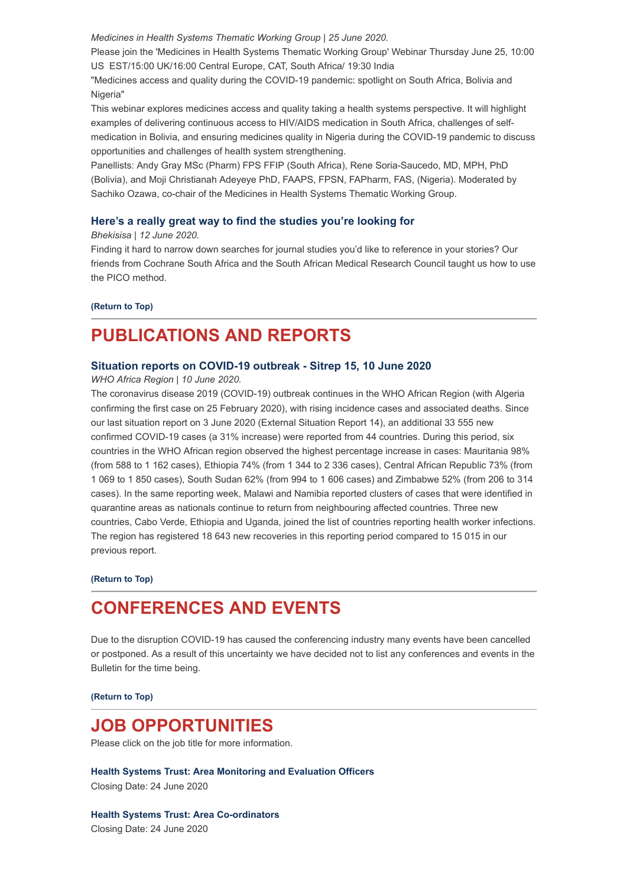*Medicines in Health Systems Thematic Working Group | 25 June 2020.*

Please join the 'Medicines in Health Systems Thematic Working Group' Webinar Thursday June 25, 10:00 US EST/15:00 UK/16:00 Central Europe, CAT, South Africa/ 19:30 India

"Medicines access and quality during the COVID-19 pandemic: spotlight on South Africa, Bolivia and Nigeria"

This webinar explores medicines access and quality taking a health systems perspective. It will highlight examples of delivering continuous access to HIV/AIDS medication in South Africa, challenges of selfmedication in Bolivia, and ensuring medicines quality in Nigeria during the COVID-19 pandemic to discuss opportunities and challenges of health system strengthening.

Panellists: Andy Gray MSc (Pharm) FPS FFIP (South Africa), Rene Soria-Saucedo, MD, MPH, PhD (Bolivia), and Moji Christianah Adeyeye PhD, FAAPS, FPSN, FAPharm, FAS, (Nigeria). Moderated by Sachiko Ozawa, co-chair of the Medicines in Health Systems Thematic Working Group.

#### **[Here's a really great way to find the studies you're looking for](https://bhekisisa.org/resources-for-journalists/2020-06-12-heres-a-really-great-way-to-find-the-studies-youre-looking-for/)**

#### *Bhekisisa | 12 June 2020.*

Finding it hard to narrow down searches for journal studies you'd like to reference in your stories? Our friends from Cochrane South Africa and the South African Medical Research Council taught us how to use the PICO method.

**[\(Return to Top\)](#page-0-1)**

## **PUBLICATIONS AND REPORTS**

#### **[Situation reports on COVID-19 outbreak - Sitrep 15, 10 June 2020](https://www.afro.who.int/publications/situation-reports-covid-19-outbreak-sitrep-15-10-june-2020)**

*WHO Africa Region | 10 June 2020.*

The coronavirus disease 2019 (COVID-19) outbreak continues in the WHO African Region (with Algeria confirming the first case on 25 February 2020), with rising incidence cases and associated deaths. Since our last situation report on 3 June 2020 (External Situation Report 14), an additional 33 555 new confirmed COVID-19 cases (a 31% increase) were reported from 44 countries. During this period, six countries in the WHO African region observed the highest percentage increase in cases: Mauritania 98% (from 588 to 1 162 cases), Ethiopia 74% (from 1 344 to 2 336 cases), Central African Republic 73% (from 1 069 to 1 850 cases), South Sudan 62% (from 994 to 1 606 cases) and Zimbabwe 52% (from 206 to 314 cases). In the same reporting week, Malawi and Namibia reported clusters of cases that were identified in quarantine areas as nationals continue to return from neighbouring affected countries. Three new countries, Cabo Verde, Ethiopia and Uganda, joined the list of countries reporting health worker infections. The region has registered 18 643 new recoveries in this reporting period compared to 15 015 in our previous report.

#### **[\(Return to Top\)](#page-0-1)**

## <span id="page-3-0"></span>**CONFERENCES AND EVENTS**

Due to the disruption COVID-19 has caused the conferencing industry many events have been cancelled or postponed. As a result of this uncertainty we have decided not to list any conferences and events in the Bulletin for the time being.

**[\(Return to Top\)](#page-0-1)**

## **JOB OPPORTUNITIES**

Please click on the job title for more information.

### **[Health Systems Trust: Area Monitoring and Evaluation Officers](https://www.hst.org.za/Pages/Area-Monitoring-and-Evaluation-Officers-.aspx)**

Closing Date: 24 June 2020

**[Health Systems Trust: Area Co-ordinators](https://www.hst.org.za/Pages/Area-Co-ordinator-.aspx)** Closing Date: 24 June 2020